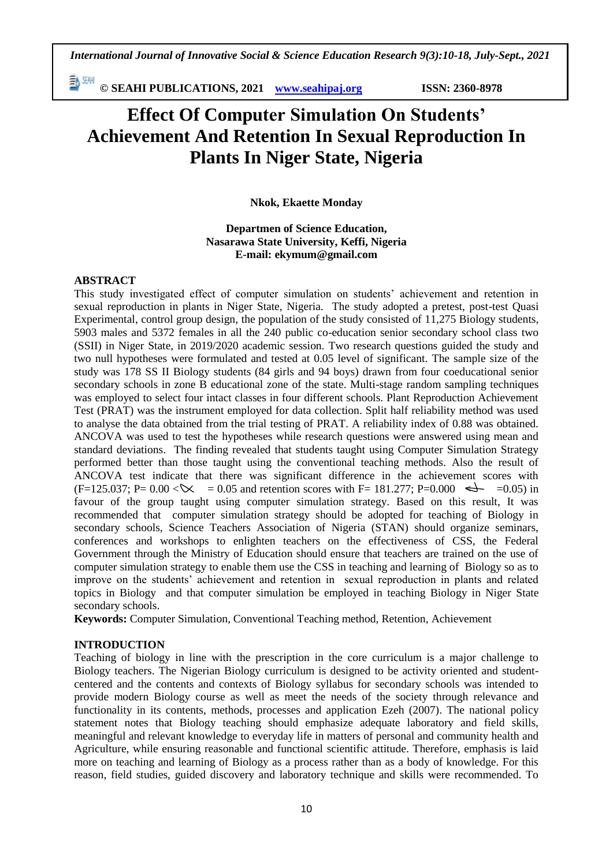動細 **© SEAHI PUBLICATIONS, 2021 [www.seahipaj.org](http://www.seahipaj.org/) ISSN: 2360-8978**

# **Effect Of Computer Simulation On Students' Achievement And Retention In Sexual Reproduction In Plants In Niger State, Nigeria**

**Nkok, Ekaette Monday**

**Departmen of Science Education, Nasarawa State University, Keffi, Nigeria E-mail: ekymum@gmail.com**

#### **ABSTRACT**

This study investigated effect of computer simulation on students' achievement and retention in sexual reproduction in plants in Niger State, Nigeria. The study adopted a pretest, post-test Quasi Experimental, control group design, the population of the study consisted of 11,275 Biology students, 5903 males and 5372 females in all the 240 public co-education senior secondary school class two (SSII) in Niger State, in 2019/2020 academic session. Two research questions guided the study and two null hypotheses were formulated and tested at 0.05 level of significant. The sample size of the study was 178 SS II Biology students (84 girls and 94 boys) drawn from four coeducational senior secondary schools in zone B educational zone of the state. Multi-stage random sampling techniques was employed to select four intact classes in four different schools. Plant Reproduction Achievement Test (PRAT) was the instrument employed for data collection. Split half reliability method was used to analyse the data obtained from the trial testing of PRAT. A reliability index of 0.88 was obtained. ANCOVA was used to test the hypotheses while research questions were answered using mean and standard deviations. The finding revealed that students taught using Computer Simulation Strategy performed better than those taught using the conventional teaching methods. Also the result of ANCOVA test indicate that there was significant difference in the achievement scores with  $(F=125.037; P= 0.00 < \times \qquad = 0.05$  and retention scores with F= 181.277; P=0.000  $\iff$  =0.05) in favour of the group taught using computer simulation strategy. Based on this result, It was recommended that computer simulation strategy should be adopted for teaching of Biology in secondary schools, Science Teachers Association of Nigeria (STAN) should organize seminars, conferences and workshops to enlighten teachers on the effectiveness of CSS, the Federal Government through the Ministry of Education should ensure that teachers are trained on the use of computer simulation strategy to enable them use the CSS in teaching and learning of Biology so as to improve on the students' achievement and retention in sexual reproduction in plants and related topics in Biology and that computer simulation be employed in teaching Biology in Niger State secondary schools.

**Keywords:** Computer Simulation, Conventional Teaching method, Retention, Achievement

#### **INTRODUCTION**

Teaching of biology in line with the prescription in the core curriculum is a major challenge to Biology teachers. The Nigerian Biology curriculum is designed to be activity oriented and studentcentered and the contents and contexts of Biology syllabus for secondary schools was intended to provide modern Biology course as well as meet the needs of the society through relevance and functionality in its contents, methods, processes and application Ezeh (2007). The national policy statement notes that Biology teaching should emphasize adequate laboratory and field skills, meaningful and relevant knowledge to everyday life in matters of personal and community health and Agriculture, while ensuring reasonable and functional scientific attitude. Therefore, emphasis is laid more on teaching and learning of Biology as a process rather than as a body of knowledge. For this reason, field studies, guided discovery and laboratory technique and skills were recommended. To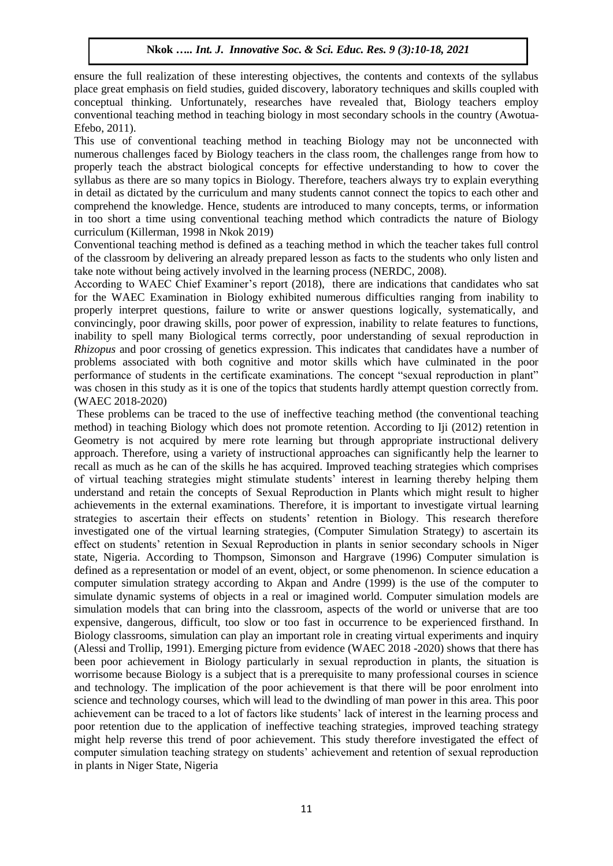ensure the full realization of these interesting objectives, the contents and contexts of the syllabus place great emphasis on field studies, guided discovery, laboratory techniques and skills coupled with conceptual thinking. Unfortunately, researches have revealed that, Biology teachers employ conventional teaching method in teaching biology in most secondary schools in the country (Awotua-Efebo, 2011).

This use of conventional teaching method in teaching Biology may not be unconnected with numerous challenges faced by Biology teachers in the class room, the challenges range from how to properly teach the abstract biological concepts for effective understanding to how to cover the syllabus as there are so many topics in Biology. Therefore, teachers always try to explain everything in detail as dictated by the curriculum and many students cannot connect the topics to each other and comprehend the knowledge. Hence, students are introduced to many concepts, terms, or information in too short a time using conventional teaching method which contradicts the nature of Biology curriculum (Killerman, 1998 in Nkok 2019)

Conventional teaching method is defined as a teaching method in which the teacher takes full control of the classroom by delivering an already prepared lesson as facts to the students who only listen and take note without being actively involved in the learning process (NERDC, 2008).

According to WAEC Chief Examiner's report (2018), there are indications that candidates who sat for the WAEC Examination in Biology exhibited numerous difficulties ranging from inability to properly interpret questions, failure to write or answer questions logically, systematically, and convincingly, poor drawing skills, poor power of expression, inability to relate features to functions, inability to spell many Biological terms correctly, poor understanding of sexual reproduction in *Rhizopus* and poor crossing of genetics expression. This indicates that candidates have a number of problems associated with both cognitive and motor skills which have culminated in the poor performance of students in the certificate examinations. The concept "sexual reproduction in plant" was chosen in this study as it is one of the topics that students hardly attempt question correctly from. (WAEC 2018-2020)

These problems can be traced to the use of ineffective teaching method (the conventional teaching method) in teaching Biology which does not promote retention. According to Iji (2012) retention in Geometry is not acquired by mere rote learning but through appropriate instructional delivery approach. Therefore, using a variety of instructional approaches can significantly help the learner to recall as much as he can of the skills he has acquired. Improved teaching strategies which comprises of virtual teaching strategies might stimulate students' interest in learning thereby helping them understand and retain the concepts of Sexual Reproduction in Plants which might result to higher achievements in the external examinations. Therefore, it is important to investigate virtual learning strategies to ascertain their effects on students' retention in Biology. This research therefore investigated one of the virtual learning strategies, (Computer Simulation Strategy) to ascertain its effect on students' retention in Sexual Reproduction in plants in senior secondary schools in Niger state, Nigeria. According to Thompson, Simonson and Hargrave (1996) Computer simulation is defined as a representation or model of an event, object, or some phenomenon. In science education a computer simulation strategy according to Akpan and Andre (1999) is the use of the computer to simulate dynamic systems of objects in a real or imagined world. Computer simulation models are simulation models that can bring into the classroom, aspects of the world or universe that are too expensive, dangerous, difficult, too slow or too fast in occurrence to be experienced firsthand. In Biology classrooms, simulation can play an important role in creating virtual experiments and inquiry (Alessi and Trollip, 1991). Emerging picture from evidence (WAEC 2018 -2020) shows that there has been poor achievement in Biology particularly in sexual reproduction in plants, the situation is worrisome because Biology is a subject that is a prerequisite to many professional courses in science and technology. The implication of the poor achievement is that there will be poor enrolment into science and technology courses, which will lead to the dwindling of man power in this area. This poor achievement can be traced to a lot of factors like students' lack of interest in the learning process and poor retention due to the application of ineffective teaching strategies, improved teaching strategy might help reverse this trend of poor achievement. This study therefore investigated the effect of computer simulation teaching strategy on students' achievement and retention of sexual reproduction in plants in Niger State, Nigeria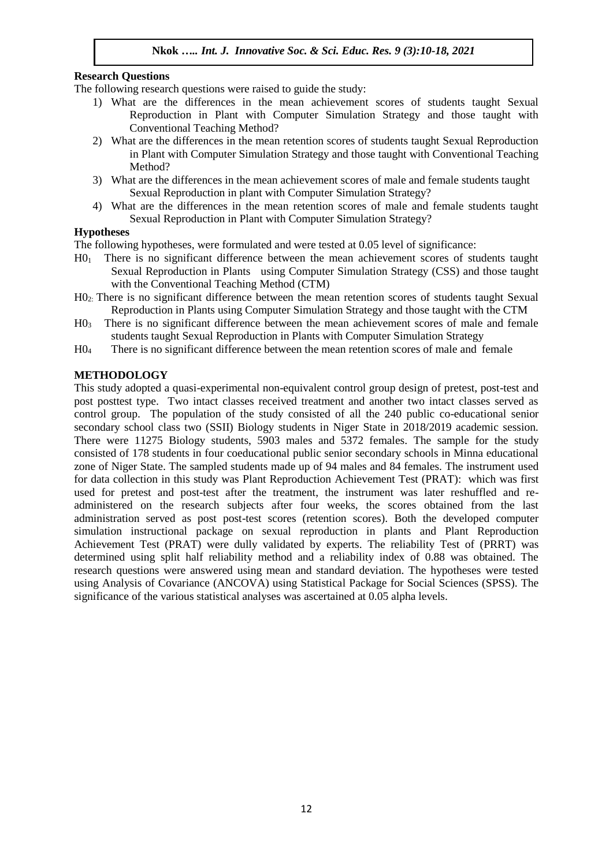## **Research Questions**

The following research questions were raised to guide the study:

- 1) What are the differences in the mean achievement scores of students taught Sexual Reproduction in Plant with Computer Simulation Strategy and those taught with Conventional Teaching Method?
- 2) What are the differences in the mean retention scores of students taught Sexual Reproduction in Plant with Computer Simulation Strategy and those taught with Conventional Teaching Method?
- 3) What are the differences in the mean achievement scores of male and female students taught Sexual Reproduction in plant with Computer Simulation Strategy?
- 4) What are the differences in the mean retention scores of male and female students taught Sexual Reproduction in Plant with Computer Simulation Strategy?

#### **Hypotheses**

The following hypotheses, were formulated and were tested at 0.05 level of significance:

- H01 There is no significant difference between the mean achievement scores of students taught Sexual Reproduction in Plants using Computer Simulation Strategy (CSS) and those taught with the Conventional Teaching Method (CTM)
- H02: There is no significant difference between the mean retention scores of students taught Sexual Reproduction in Plants using Computer Simulation Strategy and those taught with the CTM
- H03 There is no significant difference between the mean achievement scores of male and female students taught Sexual Reproduction in Plants with Computer Simulation Strategy
- H0<sup>4</sup> There is no significant difference between the mean retention scores of male and female

## **METHODOLOGY**

This study adopted a quasi-experimental non-equivalent control group design of pretest, post-test and post posttest type. Two intact classes received treatment and another two intact classes served as control group. The population of the study consisted of all the 240 public co-educational senior secondary school class two (SSII) Biology students in Niger State in 2018/2019 academic session. There were 11275 Biology students, 5903 males and 5372 females. The sample for the study consisted of 178 students in four coeducational public senior secondary schools in Minna educational zone of Niger State. The sampled students made up of 94 males and 84 females. The instrument used for data collection in this study was Plant Reproduction Achievement Test (PRAT): which was first used for pretest and post-test after the treatment, the instrument was later reshuffled and readministered on the research subjects after four weeks, the scores obtained from the last administration served as post post-test scores (retention scores). Both the developed computer simulation instructional package on sexual reproduction in plants and Plant Reproduction Achievement Test (PRAT) were dully validated by experts. The reliability Test of (PRRT) was determined using split half reliability method and a reliability index of 0.88 was obtained. The research questions were answered using mean and standard deviation. The hypotheses were tested using Analysis of Covariance (ANCOVA) using Statistical Package for Social Sciences (SPSS). The significance of the various statistical analyses was ascertained at 0.05 alpha levels.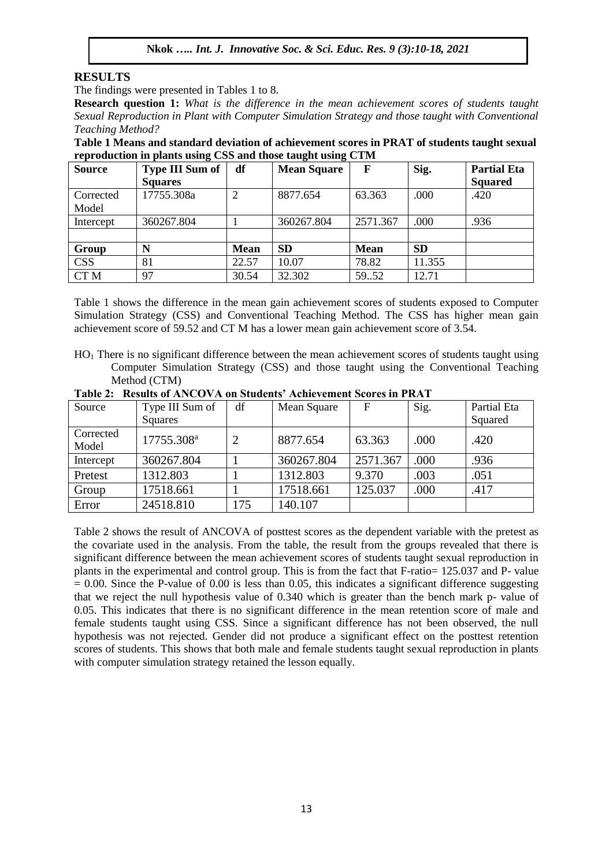# **RESULTS**

The findings were presented in Tables 1 to 8.

**Research question 1:** *What is the difference in the mean achievement scores of students taught Sexual Reproduction in Plant with Computer Simulation Strategy and those taught with Conventional Teaching Method?*

**Table 1 Means and standard deviation of achievement scores in PRAT of students taught sexual reproduction in plants using CSS and those taught using CTM**

| <b>Source</b>   | <b>Type III Sum of</b> | df             | <b>Mean Square</b> | F           | Sig.      | <b>Partial Eta</b> |
|-----------------|------------------------|----------------|--------------------|-------------|-----------|--------------------|
|                 | <b>Squares</b>         |                |                    |             |           | <b>Squared</b>     |
| Corrected       | 17755.308a             | $\overline{2}$ | 8877.654           | 63.363      | .000      | .420               |
| Model           |                        |                |                    |             |           |                    |
| Intercept       | 360267.804             |                | 360267.804         | 2571.367    | .000      | .936               |
|                 |                        |                |                    |             |           |                    |
| Group           | N                      | <b>Mean</b>    | <b>SD</b>          | <b>Mean</b> | <b>SD</b> |                    |
| <b>CSS</b>      | 81                     | 22.57          | 10.07              | 78.82       | 11.355    |                    |
| CT <sub>M</sub> | 97                     | 30.54          | 32.302             | 59.52       | 12.71     |                    |

Table 1 shows the difference in the mean gain achievement scores of students exposed to Computer Simulation Strategy (CSS) and Conventional Teaching Method. The CSS has higher mean gain achievement score of 59.52 and CT M has a lower mean gain achievement score of 3.54.

HO<sup>1</sup> There is no significant difference between the mean achievement scores of students taught using Computer Simulation Strategy (CSS) and those taught using the Conventional Teaching Method (CTM)

| Source    | Type III Sum of        | df  | Mean Square | $\mathbf F$ | Sig. | Partial Eta |
|-----------|------------------------|-----|-------------|-------------|------|-------------|
|           | <b>Squares</b>         |     |             |             |      | Squared     |
| Corrected | 17755.308 <sup>a</sup> | 2   | 8877.654    | 63.363      | .000 | .420        |
| Model     |                        |     |             |             |      |             |
| Intercept | 360267.804             |     | 360267.804  | 2571.367    | .000 | .936        |
| Pretest   | 1312.803               |     | 1312.803    | 9.370       | .003 | .051        |
| Group     | 17518.661              |     | 17518.661   | 125.037     | .000 | .417        |
| Error     | 24518.810              | 175 | 140.107     |             |      |             |

**Table 2: Results of ANCOVA on Students' Achievement Scores in PRAT**

Table 2 shows the result of ANCOVA of posttest scores as the dependent variable with the pretest as the covariate used in the analysis. From the table, the result from the groups revealed that there is significant difference between the mean achievement scores of students taught sexual reproduction in plants in the experimental and control group. This is from the fact that F-ratio= 125.037 and P- value  $= 0.00$ . Since the P-value of 0.00 is less than 0.05, this indicates a significant difference suggesting that we reject the null hypothesis value of 0.340 which is greater than the bench mark p- value of 0.05. This indicates that there is no significant difference in the mean retention score of male and female students taught using CSS. Since a significant difference has not been observed, the null hypothesis was not rejected. Gender did not produce a significant effect on the posttest retention scores of students. This shows that both male and female students taught sexual reproduction in plants with computer simulation strategy retained the lesson equally.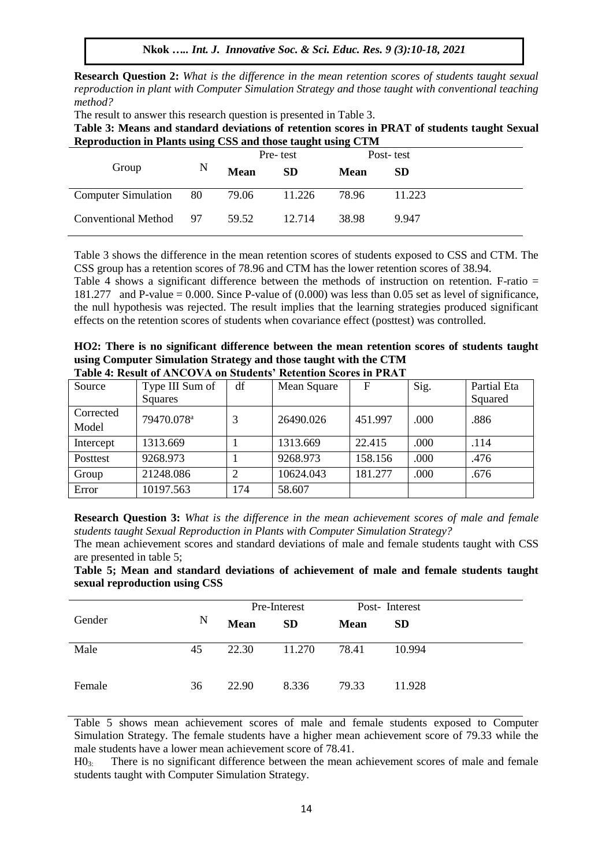**Nkok** *….. Int. J. Innovative Soc. & Sci. Educ. Res. 9 (3):10-18, 2021*

**Research Question 2:** *What is the difference in the mean retention scores of students taught sexual reproduction in plant with Computer Simulation Strategy and those taught with conventional teaching method?* 

The result to answer this research question is presented in Table 3.

**Table 3: Means and standard deviations of retention scores in PRAT of students taught Sexual Reproduction in Plants using CSS and those taught using CTM**

|                            |      | Pre-test    |           |             | Post-test |
|----------------------------|------|-------------|-----------|-------------|-----------|
| Group                      | N    | <b>Mean</b> | <b>SD</b> | <b>Mean</b> | <b>SD</b> |
| <b>Computer Simulation</b> | - 80 | 79.06       | 11.226    | 78.96       | 11.223    |
| Conventional Method 97     |      | 59.52       | 12.714    | 38.98       | 9.947     |

Table 3 shows the difference in the mean retention scores of students exposed to CSS and CTM. The CSS group has a retention scores of 78.96 and CTM has the lower retention scores of 38.94.

Table 4 shows a significant difference between the methods of instruction on retention. F-ratio = 181.277 and P-value = 0.000. Since P-value of (0.000) was less than 0.05 set as level of significance, the null hypothesis was rejected. The result implies that the learning strategies produced significant effects on the retention scores of students when covariance effect (posttest) was controlled.

**HO2: There is no significant difference between the mean retention scores of students taught using Computer Simulation Strategy and those taught with the CTM Table 4: Result of ANCOVA on Students' Retention Scores in PRAT**

| Tadic 4. Incrite of the CO off on Standard Included Stores in Finith |                        |     |             |         |      |             |
|----------------------------------------------------------------------|------------------------|-----|-------------|---------|------|-------------|
| Source                                                               | Type III Sum of        | df  | Mean Square | F       | Sig. | Partial Eta |
|                                                                      | Squares                |     |             |         |      | Squared     |
| Corrected                                                            | 79470.078 <sup>a</sup> |     | 26490.026   | 451.997 |      |             |
| Model                                                                |                        | 3   |             |         | .000 | .886        |
| Intercept                                                            | 1313.669               |     | 1313.669    | 22.415  | .000 | .114        |
| Posttest                                                             | 9268.973               |     | 9268.973    | 158.156 | .000 | .476        |
| Group                                                                | 21248.086              | 2   | 10624.043   | 181.277 | .000 | .676        |
| Error                                                                | 10197.563              | 174 | 58.607      |         |      |             |

**Research Question 3:** *What is the difference in the mean achievement scores of male and female students taught Sexual Reproduction in Plants with Computer Simulation Strategy?* 

The mean achievement scores and standard deviations of male and female students taught with CSS are presented in table 5;

**Table 5; Mean and standard deviations of achievement of male and female students taught sexual reproduction using CSS**

|        |    | Pre-Interest |           | Post-Interest |           |
|--------|----|--------------|-----------|---------------|-----------|
| Gender | N  | <b>Mean</b>  | <b>SD</b> | <b>Mean</b>   | <b>SD</b> |
| Male   | 45 | 22.30        | 11.270    | 78.41         | 10.994    |
| Female | 36 | 22.90        | 8.336     | 79.33         | 11.928    |

Table 5 shows mean achievement scores of male and female students exposed to Computer Simulation Strategy. The female students have a higher mean achievement score of 79.33 while the male students have a lower mean achievement score of 78.41.

H03: There is no significant difference between the mean achievement scores of male and female students taught with Computer Simulation Strategy.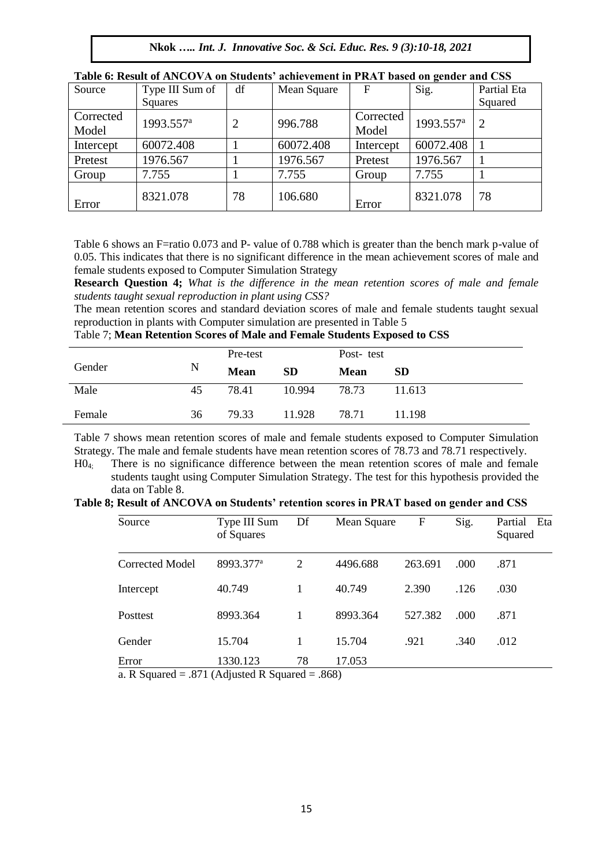| Source    | Type III Sum of       | df             | Mean Square | F         | Sig.                  | Partial Eta |
|-----------|-----------------------|----------------|-------------|-----------|-----------------------|-------------|
|           | Squares               |                |             |           |                       | Squared     |
| Corrected |                       |                |             | Corrected |                       |             |
| Model     | 1993.557 <sup>a</sup> | $\overline{2}$ | 996.788     | Model     | 1993.557 <sup>a</sup> | 2           |
| Intercept | 60072.408             |                | 60072.408   | Intercept | 60072.408             |             |
| Pretest   | 1976.567              |                | 1976.567    | Pretest   | 1976.567              |             |
| Group     | 7.755                 |                | 7.755       | Group     | 7.755                 |             |
| Error     | 8321.078              | 78             | 106.680     | Error     | 8321.078              | 78          |

| Table 6: Result of ANCOVA on Students' achievement in PRAT based on gender and CSS |  |  |
|------------------------------------------------------------------------------------|--|--|
|------------------------------------------------------------------------------------|--|--|

Table 6 shows an F=ratio 0.073 and P- value of 0.788 which is greater than the bench mark p-value of 0.05. This indicates that there is no significant difference in the mean achievement scores of male and female students exposed to Computer Simulation Strategy

**Research Question 4;** *What is the difference in the mean retention scores of male and female students taught sexual reproduction in plant using CSS?*

The mean retention scores and standard deviation scores of male and female students taught sexual reproduction in plants with Computer simulation are presented in Table 5

Table 7; **Mean Retention Scores of Male and Female Students Exposed to CSS**

|        |    | Pre-test    |           | Post-test   |           |
|--------|----|-------------|-----------|-------------|-----------|
| Gender | N  | <b>Mean</b> | <b>SD</b> | <b>Mean</b> | <b>SD</b> |
| Male   | 45 | 78.41       | 10.994    | 78.73       | 11.613    |
| Female | 36 | 79.33       | 11.928    | 78.71       | 11.198    |

Table 7 shows mean retention scores of male and female students exposed to Computer Simulation Strategy. The male and female students have mean retention scores of 78.73 and 78.71 respectively.

H04; There is no significance difference between the mean retention scores of male and female students taught using Computer Simulation Strategy. The test for this hypothesis provided the data on Table 8.

|  | Table 8; Result of ANCOVA on Students' retention scores in PRAT based on gender and CSS |  |  |
|--|-----------------------------------------------------------------------------------------|--|--|
|--|-----------------------------------------------------------------------------------------|--|--|

| Source                                           | Type III Sum<br>of Squares                   | Df                 | Mean Square                    | F       | Sig. | Partial Eta<br>Squared |
|--------------------------------------------------|----------------------------------------------|--------------------|--------------------------------|---------|------|------------------------|
| Corrected Model                                  | 8993.377 <sup>a</sup>                        | 2                  | 4496.688                       | 263.691 | .000 | .871                   |
| Intercept                                        | 40.749                                       |                    | 40.749                         | 2.390   | .126 | .030                   |
| <b>Posttest</b>                                  | 8993.364                                     |                    | 8993.364                       | 527.382 | .000 | .871                   |
| Gender                                           | 15.704                                       |                    | 15.704                         | .921    | .340 | .012                   |
| Error<br>$\mathbf{r}$ $\alpha$<br>$\blacksquare$ | 1330.123<br>$0.71 \times 11$ $1.70 \times 1$ | 78<br>$\mathbf{1}$ | 17.053<br>$\sim$ $\sim$ $\sim$ |         |      |                        |

a. R Squared =  $.871$  (Adjusted R Squared =  $.868$ )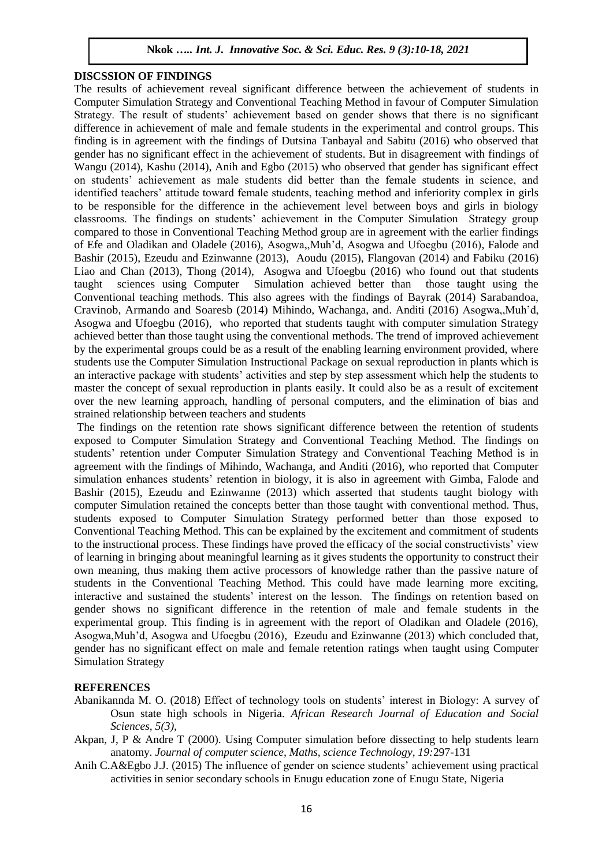#### **DISCSSION OF FINDINGS**

The results of achievement reveal significant difference between the achievement of students in Computer Simulation Strategy and Conventional Teaching Method in favour of Computer Simulation Strategy. The result of students' achievement based on gender shows that there is no significant difference in achievement of male and female students in the experimental and control groups. This finding is in agreement with the findings of Dutsina Tanbayal and Sabitu (2016) who observed that gender has no significant effect in the achievement of students. But in disagreement with findings of Wangu (2014), Kashu (2014), Anih and Egbo (2015) who observed that gender has significant effect on students' achievement as male students did better than the female students in science, and identified teachers' attitude toward female students, teaching method and inferiority complex in girls to be responsible for the difference in the achievement level between boys and girls in biology classrooms. The findings on students' achievement in the Computer Simulation Strategy group compared to those in Conventional Teaching Method group are in agreement with the earlier findings of Efe and Oladikan and Oladele (2016), Asogwa,,Muh'd, Asogwa and Ufoegbu (2016), Falode and Bashir (2015), Ezeudu and Ezinwanne (2013), Aoudu (2015), Flangovan (2014) and Fabiku (2016) Liao and Chan (2013), Thong (2014), Asogwa and Ufoegbu (2016) who found out that students taught sciences using Computer Simulation achieved better than those taught using the Conventional teaching methods. This also agrees with the findings of Bayrak (2014) Sarabandoa, Cravinob, Armando and Soaresb (2014) Mihindo, Wachanga, and. Anditi (2016) Asogwa,,Muh'd, Asogwa and Ufoegbu (2016), who reported that students taught with computer simulation Strategy achieved better than those taught using the conventional methods. The trend of improved achievement by the experimental groups could be as a result of the enabling learning environment provided, where students use the Computer Simulation Instructional Package on sexual reproduction in plants which is an interactive package with students' activities and step by step assessment which help the students to master the concept of sexual reproduction in plants easily. It could also be as a result of excitement over the new learning approach, handling of personal computers, and the elimination of bias and strained relationship between teachers and students

The findings on the retention rate shows significant difference between the retention of students exposed to Computer Simulation Strategy and Conventional Teaching Method. The findings on students' retention under Computer Simulation Strategy and Conventional Teaching Method is in agreement with the findings of Mihindo, Wachanga, and Anditi (2016), who reported that Computer simulation enhances students' retention in biology, it is also in agreement with Gimba, Falode and Bashir (2015), Ezeudu and Ezinwanne (2013) which asserted that students taught biology with computer Simulation retained the concepts better than those taught with conventional method. Thus, students exposed to Computer Simulation Strategy performed better than those exposed to Conventional Teaching Method. This can be explained by the excitement and commitment of students to the instructional process. These findings have proved the efficacy of the social constructivists' view of learning in bringing about meaningful learning as it gives students the opportunity to construct their own meaning, thus making them active processors of knowledge rather than the passive nature of students in the Conventional Teaching Method. This could have made learning more exciting, interactive and sustained the students' interest on the lesson. The findings on retention based on gender shows no significant difference in the retention of male and female students in the experimental group. This finding is in agreement with the report of Oladikan and Oladele (2016), Asogwa,Muh'd, Asogwa and Ufoegbu (2016), Ezeudu and Ezinwanne (2013) which concluded that, gender has no significant effect on male and female retention ratings when taught using Computer Simulation Strategy

# **REFERENCES**

- Abanikannda M. O. (2018) Effect of technology tools on students' interest in Biology: A survey of Osun state high schools in Nigeria. *African Research Journal of Education and Social Sciences, 5(3),*
- Akpan, J, P & Andre T (2000). Using Computer simulation before dissecting to help students learn anatomy. *Journal of computer science, Maths, science Technology, 19:*297-131
- Anih C.A&Egbo J.J. (2015) The influence of gender on science students' achievement using practical activities in senior secondary schools in Enugu education zone of Enugu State, Nigeria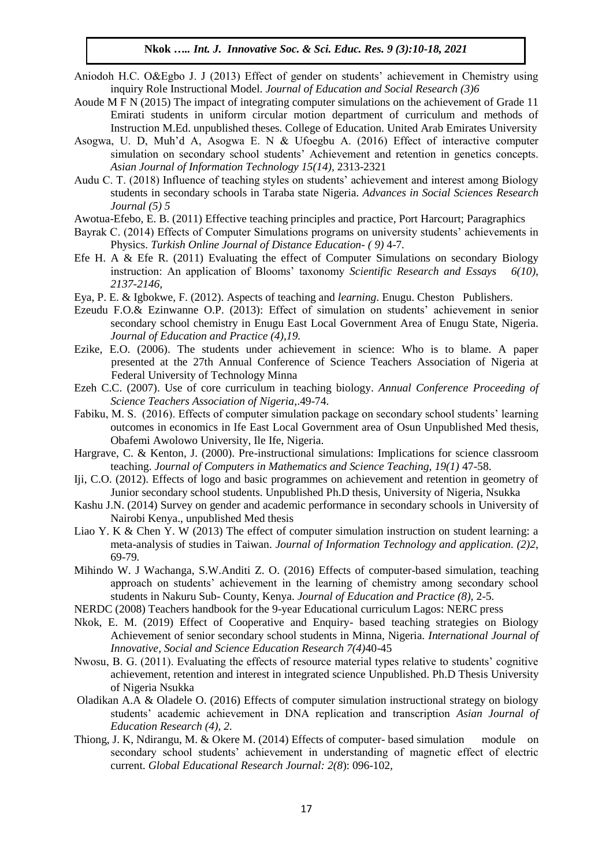- Aniodoh H.C. O&Egbo J. J (2013) Effect of gender on students' achievement in Chemistry using inquiry Role Instructional Model*. Journal of Education and Social Research (3)6*
- Aoude M F N (2015) The impact of integrating computer simulations on the achievement of Grade 11 Emirati students in uniform circular motion department of curriculum and methods of Instruction M.Ed. unpublished theses*.* College of Education. United Arab Emirates University
- Asogwa, U. D, Muh'd A, Asogwa E. N & Ufoegbu A. (2016) Effect of interactive computer simulation on secondary school students' Achievement and retention in genetics concepts. *Asian Journal of Information Technology 15(14),* 2313-2321
- Audu C. T. (2018) Influence of teaching styles on students' achievement and interest among Biology students in secondary schools in Taraba state Nigeria. *Advances in Social Sciences Research Journal (5) 5*
- Awotua-Efebo, E. B. (2011) Effective teaching principles and practice, Port Harcourt; Paragraphics
- Bayrak C. (2014) Effects of Computer Simulations programs on university students' achievements in Physics. *Turkish Online Journal of Distance Education- ( 9)* 4-7*.*
- Efe H. A & Efe R. (2011) Evaluating the effect of Computer Simulations on secondary Biology instruction: An application of Blooms' taxonomy *Scientific Research and Essays 6(10), 2137-2146,*
- Eya, P. E. & Igbokwe, F. (2012). Aspects of teaching and *learning*. Enugu. Cheston Publishers.
- Ezeudu F.O.& Ezinwanne O.P. (2013): Effect of simulation on students' achievement in senior secondary school chemistry in Enugu East Local Government Area of Enugu State, Nigeria. *Journal of Education and Practice (4),19.*
- Ezike, E.O. (2006). The students under achievement in science: Who is to blame. A paper presented at the 27th Annual Conference of Science Teachers Association of Nigeria at Federal University of Technology Minna
- Ezeh C.C. (2007). Use of core curriculum in teaching biology. *Annual Conference Proceeding of Science Teachers Association of Nigeria*,.49-74.
- Fabiku, M. S. (2016). Effects of computer simulation package on secondary school students' learning outcomes in economics in Ife East Local Government area of Osun Unpublished Med thesis, Obafemi Awolowo University, Ile Ife, Nigeria.
- Hargrave, C. & Kenton, J. (2000). Pre-instructional simulations: Implications for science classroom teaching. *Journal of Computers in Mathematics and Science Teaching, 19(1)* 47-58.
- Iji, C.O. (2012). Effects of logo and basic programmes on achievement and retention in geometry of Junior secondary school students. Unpublished Ph.D thesis, University of Nigeria, Nsukka
- Kashu J.N. (2014) Survey on gender and academic performance in secondary schools in University of Nairobi Kenya., unpublished Med thesis
- Liao Y. K & Chen Y. W (2013) The effect of computer simulation instruction on student learning: a meta-analysis of studies in Taiwan. *Journal of Information Technology and application. (2)2,*  69-79*.*
- Mihindo W. J Wachanga, S.W.Anditi Z. O. (2016) Effects of computer-based simulation, teaching approach on students' achievement in the learning of chemistry among secondary school students in Nakuru Sub- County, Kenya. *Journal of Education and Practice (8),* 2-5*.*
- NERDC (2008) Teachers handbook for the 9-year Educational curriculum Lagos: NERC press
- Nkok, E. M. (2019) Effect of Cooperative and Enquiry- based teaching strategies on Biology Achievement of senior secondary school students in Minna, Nigeria. *International Journal of Innovative, Social and Science Education Research 7(4)*40-45
- Nwosu, B. G. (2011). Evaluating the effects of resource material types relative to students' cognitive achievement, retention and interest in integrated science Unpublished. Ph.D Thesis University of Nigeria Nsukka
- Oladikan A.A & Oladele O. (2016) Effects of computer simulation instructional strategy on biology students' academic achievement in DNA replication and transcription *Asian Journal of Education Research (4), 2.*
- Thiong, J. K, Ndirangu, M. & Okere M. (2014) Effects of computer- based simulation module on secondary school students' achievement in understanding of magnetic effect of electric current. *Global Educational Research Journal: 2(8*): 096-102*,*